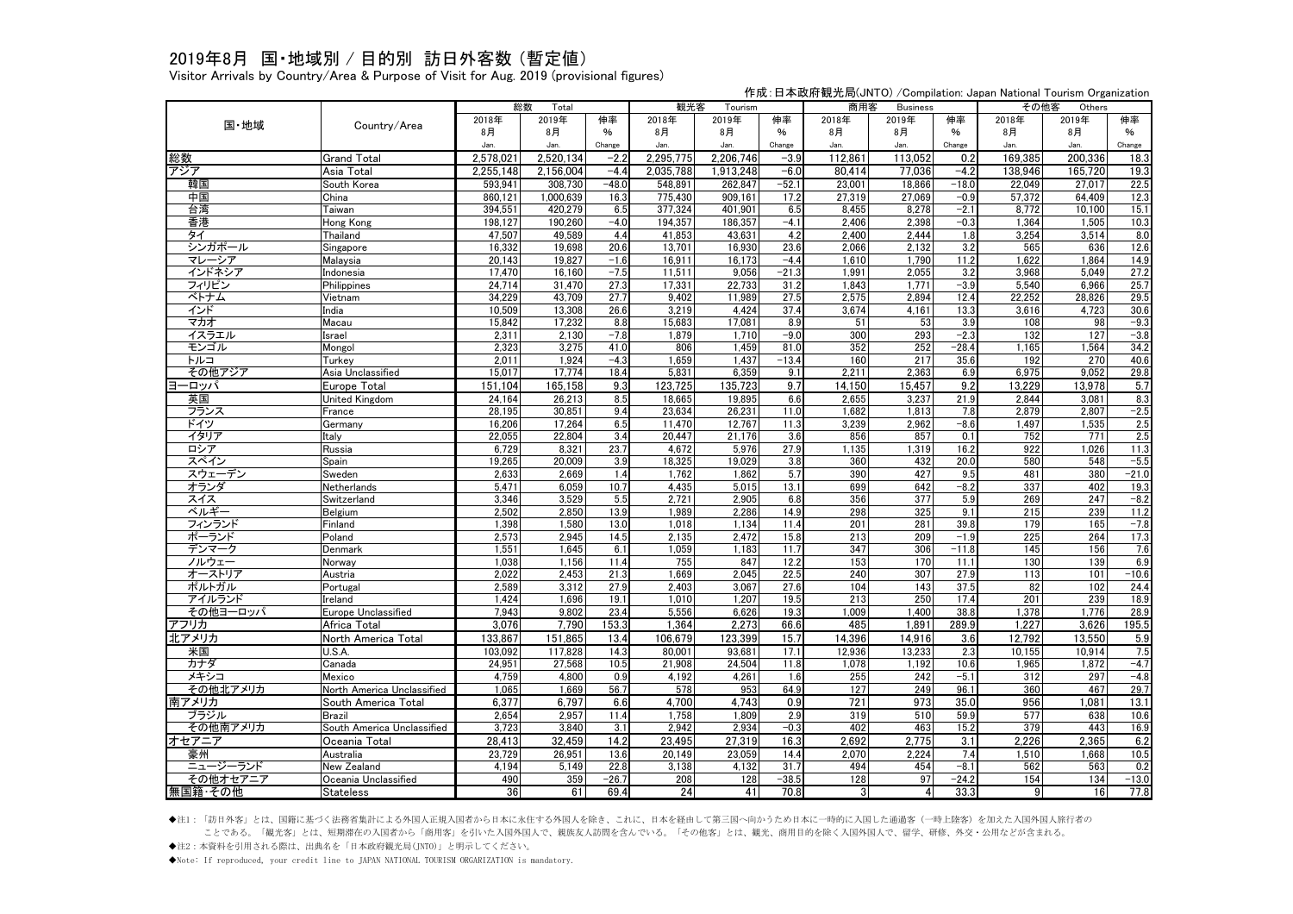## 2019年8月 国・地域別 / 目的別 訪日外客数 (暫定値)

Visitor Arrivals by Country/Area & Purpose of Visit for Aug. 2019 (provisional figures)

作成:日本政府観光局(JNTO) /Compilation: Japan National Tourism Organization

|                  |                                             | 総数<br>Total     |                 |                   | 観光客<br>Tourism |                 |                 | 商用客<br><b>Business</b> |              |                 | その他客<br>Others |              |                  |
|------------------|---------------------------------------------|-----------------|-----------------|-------------------|----------------|-----------------|-----------------|------------------------|--------------|-----------------|----------------|--------------|------------------|
| 国·地域             | Country/Area                                | 2018年           | 2019年           | 伸率                | 2018年          | 2019年           | 伸率              | 2018年                  | 2019年        | 伸率              | 2018年          | 2019年        | 伸率               |
|                  |                                             | 8月              | 8月              | $\%$              | 8月             | 8月              | $\frac{0}{6}$   | 8月                     | 8月           | %               | 8月             | 8月           | %                |
|                  |                                             | Jan.            | Jan.            | Change            | Jan.           | Jan.            | Change          | Jan.                   | Jan.         | Change          | Jan.           | Jan.         | Change           |
| 総数               | <b>Grand Total</b>                          | 2.578.021       | 2.520.134       | $-2.2$            | 2,295,775      | 2,206,746       | $-3.9$          | 112,861                | 113,052      | 0.2             | 169,385        | 200.336      | 18.3             |
| アジア              | Asia Total                                  | 2,255,148       | 2.156.004       | $-4.4$            | 2,035,788      | 1.913.248       | -6.0            | 80.414                 | 77,036       | $-4.2$          | 138,946        | 165.720      | 19.3             |
| 韓国               | South Korea                                 | 593,941         | 308,730         | $-48.0$           | 548,891        | 262,847         | $-52.$          | 23,001                 | 18,866       | $-18.0$         | 22,049         | 27,017       | 22.5             |
| 中国               | China                                       | 860,121         | 1,000,639       | 16.3              | 775,430        | 909,161         | 17.2            | 27,319                 | 27,069       | $-0.9$          | 57,372         | 64,409       | 12.3             |
| 台湾               | Taiwan                                      | 394,551         | 420,279         | 6.5               | 377,324        | 401,901         | 6.5             | 8,455                  | 8,278        | $-2.1$          | 8,772          | 10,100       | 15.1             |
| 香港               | Hong Kong                                   | 198,127         | 190,260         | $-4.0$            | 194,357        | 186,357         | $-4.1$          | 2,406                  | 2,398        | $-0.3$          | 1,364          | 1,505        | 10.3             |
| タイ               | Thailand                                    | 47,507          | 49,589          | 4.4               | 41,853         | 43,631          | 4.2             | 2,400                  | 2,444        | 1.8             | 3,254          | 3,514        | 8.0              |
| シンガポール           | Singapore                                   | 16,332          | 19,698          | 20.6              | 13,701         | 16,930          | 23.6            | 2,066                  | 2,132        | 3.2             | 565            | 636          | 12.6             |
| マレーシア            | Malaysia                                    | 20,143          | 19,827          | $-1.6$            | 16,911         | 16.173          | $-4.4$          | 1,610                  | 1,790        | 11.2            | 1.622          | 1.864        | 14.9             |
| インドネシア           | Indonesia                                   | 17,470          | 16,160          | $-7.5$            | 11,511         | 9,056           | $-21.3$         | 1,991                  | 2,055        | 3.2             | 3,968          | 5.049        | 27.2             |
| フィリピン            | Philippines                                 | 24,714          | 31,470          | 27.3              | 17,331         | 22,733          | 31.2            | 1,843                  | 1,771        | $-3.9$          | 5,540          | 6,966        | 25.7             |
| ベトナム             | Vietnam                                     | 34.229          | 43.709          | 27.7              | 9.402          | 11,989          | 27.5            | 2.575                  | 2.894        | 12.4            | 22.252         | 28.826       | 29.5             |
| インド              | India                                       | 10,509          | 13,308          | 26.6              | 3,219          | 4,424           | 37.4            | 3,674                  | 4,161        | 13.3            | 3,616          | 4,723        | 30.6             |
| マカオ              | Macau                                       | 15.842          | 17.232          | 8.8               | 15.683         | 17.081          | 8.9             | 51                     | 53           | 3.9             | 108            | 98           | $-9.3$           |
| イスラエル            | Israel                                      | 2,311           | 2,130           | $-7.8$            | 1,879          | 1,710           | $-9.0$          | 300                    | 293          | $-2.3$          | 132            | 127          | $-3.8$           |
| モンゴル<br>トルコ      | Mongol<br>Turkey                            | 2,323<br>2,011  | 3,275<br>1,924  | 41.0<br>$-4.3$    | 806<br>1,659   | 1,459<br>1,437  | 81.0<br>$-13.4$ | 352<br>160             | 252<br>217   | $-28.4$<br>35.6 | 1.165<br>192   | 1,564<br>270 | 34.2<br>40.6     |
| その他アジア           | Asia Unclassified                           | 15,017          | 17.774          | 18.4              | 5,831          | 6,359           | 9.1             | 2,211                  | 2,363        | 6.9             | 6,975          | 9,052        | 29.8             |
| ーロッパ<br>Е        | Europe Total                                | 151.104         | 165,158         | 9.3               | 123,725        | 135,723         | 9.7             | 14,150                 | 15,457       | 9.2             | 13,229         | 13,978       | 5.7              |
| 英国               | <b>United Kingdom</b>                       | 24,164          | 26,213          | 8.5               | 18,665         | 19,895          | 6.6             | 2,655                  | 3,237        | 21.9            | 2,844          | 3.081        | 8.3              |
| フランス             | France                                      | 28,195          | 30,851          | 9.4               | 23,634         | 26,231          | 11.0            | 1,682                  | 1,813        | 7.8             | 2,879          | 2,807        | $-2.5$           |
| ドイツ              | Germany                                     | 16,206          | 17,264          | 6.5               | 11.470         | 12,767          | 11.3            | 3,239                  | 2,962        | $-8.6$          | 1.497          | 1,535        | 2.5              |
| イタリア             | Italy                                       | 22,055          | 22,804          | 3.4               | 20,447         | 21,176          | 3.6             | 856                    | 857          | 0.1             | 752            | 771          | 2.5              |
| ロシア              | Russia                                      | 6,729           | 8,321           | 23.7              | 4,672          | 5,976           | 27.9            | 1,135                  | 1,319        | 16.2            | 922            | 1,026        | 11.3             |
| スペイン             | Spain                                       | 19,265          | 20,009          | 3.9               | 18,325         | 19,029          | 3.8             | 360                    | 432          | 20.0            | 580            | 548          | $-5.5$           |
| スウェーデン           | Sweden                                      | 2,633           | 2,669           | 1.4               | 1,762          | 1,862           | 5.7             | 390                    | 427          | 9.5             | 481            | 380          | $-21.0$          |
| オランダ             | Netherlands                                 | 5,471           | 6,059           | 10.7              | 4,435          | 5,015           | 13.1            | 699                    | 642          | $-8.2$          | 337            | 402          | 19.3             |
| スイス              | Switzerland                                 | 3,346           | 3,529           | 5.5               | 2,721          | 2,905           | 6.8             | 356                    | 377          | 5.9             | 269            | 247          | $-8.2$           |
| ベルギー             | Belgium                                     | 2,502           | 2,850           | 13.9              | 1,989          | 2,286           | 14.9            | 298                    | 325          | 9.1             | 215            | 239          | 11.2             |
| フィンランド           | Finland                                     | 1,398           | 1,580           | 13.0              | 1,018          | 1,134           | 11.4            | 201                    | 281          | 39.8            | 179            | 165          | $-7.8$           |
| ポーランド            | Poland                                      | 2,573           | 2,945           | 14.5              | 2,135          | 2,472           | 15.8            | 213                    | 209          | $-1.9$          | 225            | 264          | 17.3             |
| デンマーク            | Denmark                                     | 1,551           | 1.645           | 6.1               | 1.059          | 1.183           | 11.7            | 347                    | 306          | $-11.8$         | 145            | 156          | 7.6              |
| ノルウェー            | Norway                                      | 1,038           | 1,156           | 11.4              | 755            | 847             | 12.2            | 153                    | 170          | 11.1            | 130            | 139          | 6.9              |
| オーストリア           | Austria                                     | 2,022           | 2,453           | 21.3              | 1,669          | 2,045           | 22.5            | 240                    | 307          | 27.9            | 113            | 101          | $-10.6$          |
| ポルトガル            | Portugal                                    | 2,589           | 3,312           | 27.9              | 2.403          | 3.067           | 27.6            | 104                    | 143          | 37.5            | 82             | 102          | 24.4             |
| アイルランド           | Ireland                                     | 1,424           | 1,696           | 19.1              | 1.010          | 1,207           | 19.5            | 213                    | 250          | 17.4            | 201            | 239          | 18.9             |
| その他ヨーロッパ         | <b>Europe Unclassified</b>                  | 7.943           | 9,802           | 23.4              | 5.556          | 6,626           | 19.3            | 1.009                  | 1.400        | 38.8            | 1.378          | 1.776        | 28.9             |
| アフリカ             | Africa Total                                | 3.076           | 7,790           | 153.3             | 1,364          | 2.273           | 66.6            | 485                    | 1,891        | 289.9           | 1,227          | 3,626        | 195.5            |
| 北アメリカ            | North America Total                         | 133,867         | 151,865         | 13.4              | 106,679        | 123,399         | 15.7            | 14,396                 | 14,916       | 3.6             | 12,792         | 13,550       | 5.9              |
| 米国               | U.S.A.                                      | 103,092         | 117.828         | 14.3              | 80.001         | 93.681          | 17.1            | 12,936                 | 13,233       | 2.3             | 10.155         | 10.914       | 7.5              |
| カナダ<br>メキシコ      | Canada                                      | 24,951<br>4.759 | 27,568<br>4.800 | 10.5<br>0.9       | 21,908         | 24,504<br>4.261 | 11.8            | 1,078                  | 1,192<br>242 | 10.6<br>$-5.1$  | 1,965<br>312   | 1,872<br>297 | $-4.7$<br>$-4.8$ |
|                  | Mexico                                      |                 |                 |                   | 4,192          |                 | 1.6             | 255                    |              |                 |                |              |                  |
| その他北アメリカ         | North America Unclassified                  | 1,065           | 1,669           | 56.7              | 578            | 953<br>4.743    | 64.9            | 127<br>721             | 249          | 96.1            | 360            | 467          | 29.7<br>13.1     |
| 南アメリカ            | South America Total                         | 6,377           | 6,797           | 6.6               | 4,700          |                 | 0.9             |                        | 973          | 35.0            | 956            | 1,081        |                  |
| ブラジル<br>その他南アメリカ | <b>Brazil</b><br>South America Unclassified | 2,654<br>3.723  | 2,957<br>3,840  | 11.4<br>3.1       | 1,758<br>2,942 | 1,809<br>2,934  | 2.9<br>$-0.3$   | 319<br>402             | 510<br>463   | 59.9<br>15.2    | 577<br>379     | 638<br>443   | 10.6<br>16.9     |
|                  |                                             | 28.413          | 32,459          | $\overline{14.2}$ | 23,495         | 27,319          | 16.3            | 2,692                  | 2,775        | 3.1             | 2,226          | 2,365        | 6.2              |
| オセアニア<br>豪州      | Oceania Total                               | 23,729          |                 | 13.6              | 20,149         | 23,059          | 14.4            | 2,070                  | 2,224        | 7.4             | 1,510          | 1,668        | 10.5             |
| ニュージーランド         | Australia<br>New Zealand                    | 4,194           | 26,951<br>5,149 | 22.8              | 3,138          | 4,132           | 31.7            | 494                    | 454          | $-8.1$          | 562            | 563          | 0.2              |
| その他オセアニア         | Oceania Unclassified                        | 490             | 359             | $-26.7$           | 208            | 128             | $-38.5$         | 128                    | 97           | $-24.2$         | 154            | 134          | $-13.0$          |
| 無国籍・その他          | <b>Stateless</b>                            | $\overline{36}$ | 61              | 69.4              | 24             | 41              | 70.8            | 31                     |              | 33.3            | 9              | 16           | 77.8             |
|                  |                                             |                 |                 |                   |                |                 |                 |                        |              |                 |                |              |                  |

◆注1:「訪日外客」とは、国籍に基づく法務省集計による外国人正規入国者から日本に永住する外国人を除き、これに、日本を経由して第三国へ向かうため日本に一時的に入国した通過客(一時上陸客)を加えた入国外国人旅行者の ことである。「観光客」とは、短期滞在の入国者から「商用客」を引いた入国外国人で、親族友人訪問を含んでいる。「その他客」とは、観光、商用目的を除く入国外国人で、留学、研修、外交・公用などが含まれる。

◆注2:本資料を引用される際は、出典名を「日本政府観光局(JNTO)」と明示してください。

◆Note: If reproduced, your credit line to JAPAN NATIONAL TOURISM ORGARIZATION is mandatory.